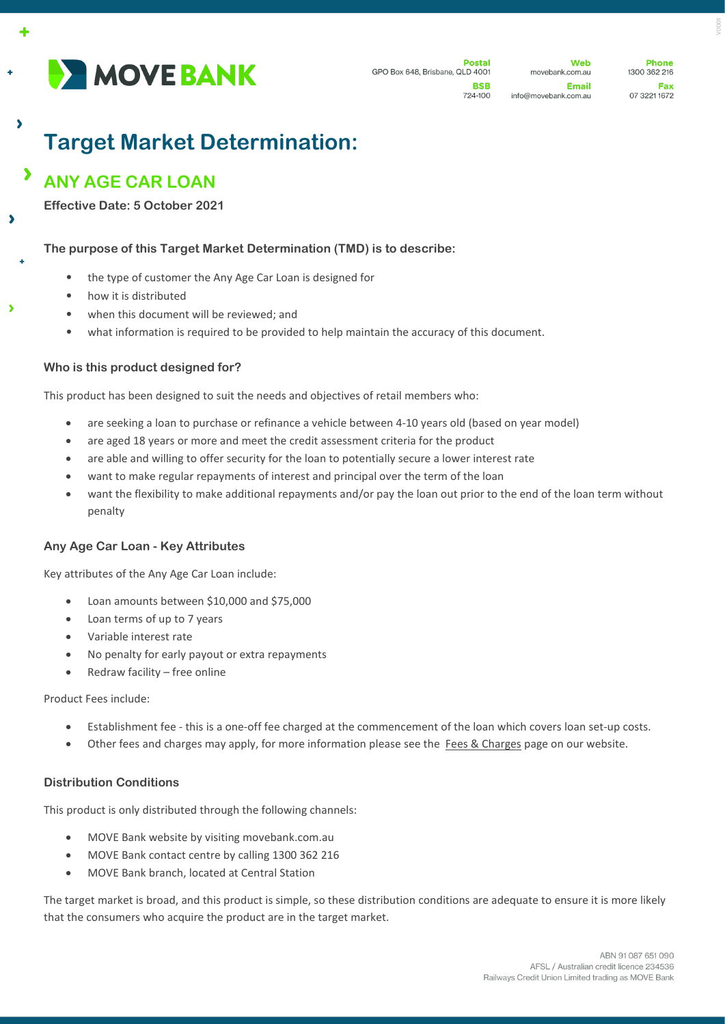

Web movebank.com.au Email info@movebank.com.au

**Phone** 1300 362 216 Fax 07 3221 1672

# **Target Market Determination:**

#### $\overline{\phantom{a}}$ **ANY AGE CAR LOAN**

 $\lambda$ 

×

**Effective Date: 5 October 2021**

## **The purpose of this Target Market Determination (TMD) is to describe:**

- the type of customer the Any Age Car Loan is designed for
- how it is distributed
- when this document will be reviewed; and
- what information is required to be provided to help maintain the accuracy of this document.

## **Who is this product designed for?**

This product has been designed to suit the needs and objectives of retail members who:

- are seeking a loan to purchase or refinance a vehicle between 4-10 years old (based on year model)
- are aged 18 years or more and meet the credit assessment criteria for the product
- are able and willing to offer security for the loan to potentially secure a lower interest rate
- want to make regular repayments of interest and principal over the term of the loan
- want the flexibility to make additional repayments and/or pay the loan out prior to the end of the loan term without penalty

## **Any Age Car Loan - Key Attributes**

Key attributes of the Any Age Car Loan include:

- Loan amounts between \$10,000 and \$75,000
- Loan terms of up to 7 years
- Variable interest rate
- No penalty for early payout or extra repayments
- Redraw facility free online

#### Product Fees include:

- Establishment fee this is a one-off fee charged at the commencement of the loan which covers loan set-up costs.
- Other fees and charges may apply, for more information please see the Fees [& Charges](https://movebank.com.au/quick-links/fees-charges/) page on our website.

## **Distribution Conditions**

This product is only distributed through the following channels:

- MOVE Bank website by visiting movebank.com.au
- MOVE Bank contact centre by calling 1300 362 216
- MOVE Bank branch, located at Central Station

The target market is broad, and this product is simple, so these distribution conditions are adequate to ensure it is more likely that the consumers who acquire the product are in the target market.